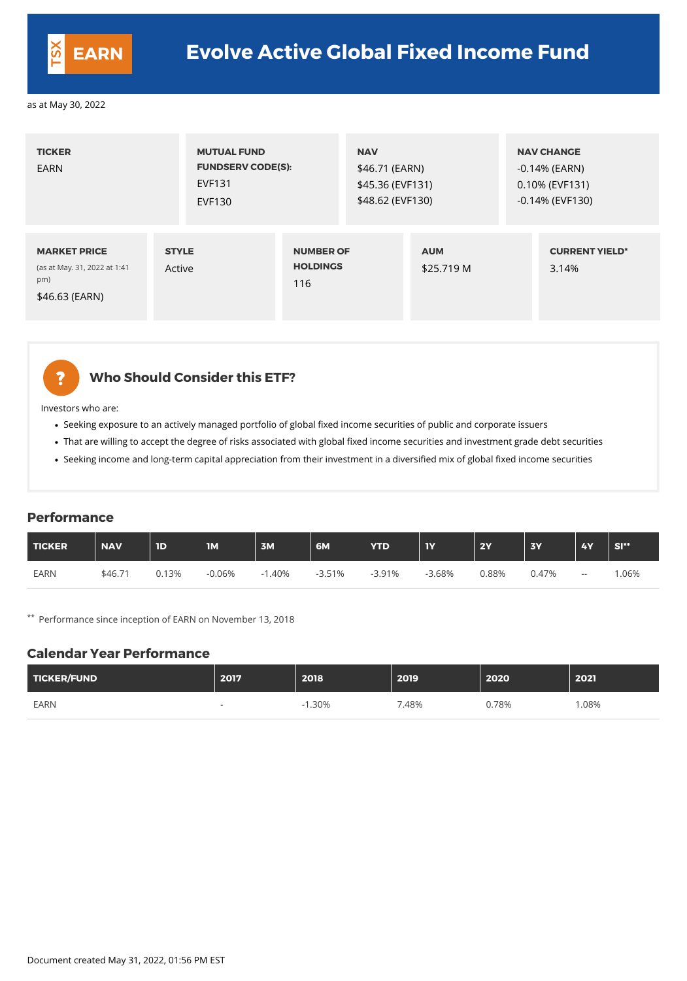| <b>TICKER</b><br><b>EARN</b>                                                 | <b>MUTUAL FUND</b><br><b>FUNDSERV CODE(S):</b><br><b>EVF131</b><br><b>EVF130</b> |                                            | <b>NAV</b><br>\$46.71 (EARN)<br>\$45.36 (EVF131)<br>\$48.62 (EVF130) |                          | <b>NAV CHANGE</b><br>$-0.14\%$ (EARN)<br>0.10% (EVF131)<br>$-0.14\%$ (EVF130) |
|------------------------------------------------------------------------------|----------------------------------------------------------------------------------|--------------------------------------------|----------------------------------------------------------------------|--------------------------|-------------------------------------------------------------------------------|
| <b>MARKET PRICE</b><br>(as at May. 31, 2022 at 1:41<br>pm)<br>\$46.63 (EARN) | <b>STYLE</b><br>Active                                                           | <b>NUMBER OF</b><br><b>HOLDINGS</b><br>116 |                                                                      | <b>AUM</b><br>\$25.719 M | <b>CURRENT YIELD*</b><br>3.14%                                                |



#### **Who Should Consider this ETF?**

Investors who are:

- Seeking exposure to an actively managed portfolio of global fixed income securities of public and corporate issuers
- That are willing to accept the degree of risks associated with global fixed income securities and investment grade debt securities
- Seeking income and long-term capital appreciation from their investment in a diversified mix of global fixed income securities

#### **Performance**

| TICKER      | <b>NAV</b> | $\mathbf{D}$ | <b>IM</b> | 3M   | 6M       | <b>YTD</b> | <b>IY</b> | <b>2Y</b> | <b>3Y</b> | <b>4Y</b> | SI <sup>**</sup> |
|-------------|------------|--------------|-----------|------|----------|------------|-----------|-----------|-----------|-----------|------------------|
| <b>EARN</b> | \$46.71    | 0.13%        | $-0.06%$  | .40% | $-3.51%$ | $-3.91%$   | $-3.68%$  | 0.88%     | 0.47%     | $- -$     | .06%             |

\*\* Performance since inception of EARN on November 13, 2018

#### **Calendar Year Performance**

| TICKER/FUND | 2017                     | 2018     | 2019 | 2020  | 2021 |
|-------------|--------------------------|----------|------|-------|------|
| <b>EARN</b> | $\overline{\phantom{a}}$ | $-1.30%$ | .48% | 0.78% | .08% |

Document created May 31, 2022, 01:56 PM EST

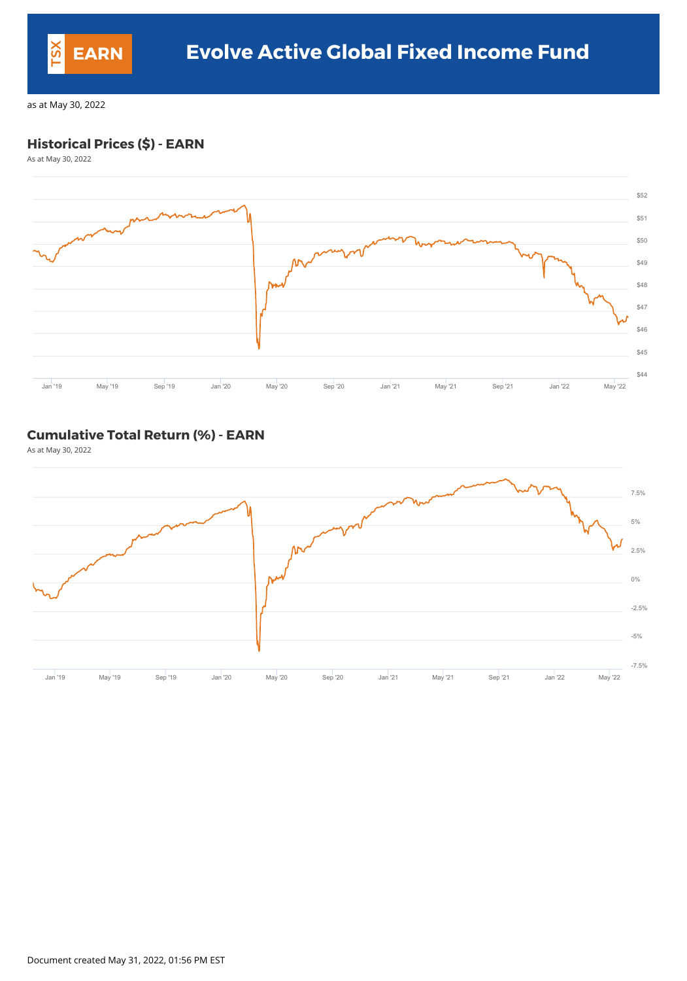### **Historical Prices (\$) - EARN**

As at May 30, 2022



#### **Cumulative Total Return (%) - EARN**

As at May 30, 2022



Document created May 31, 2022, 01:56 PM EST

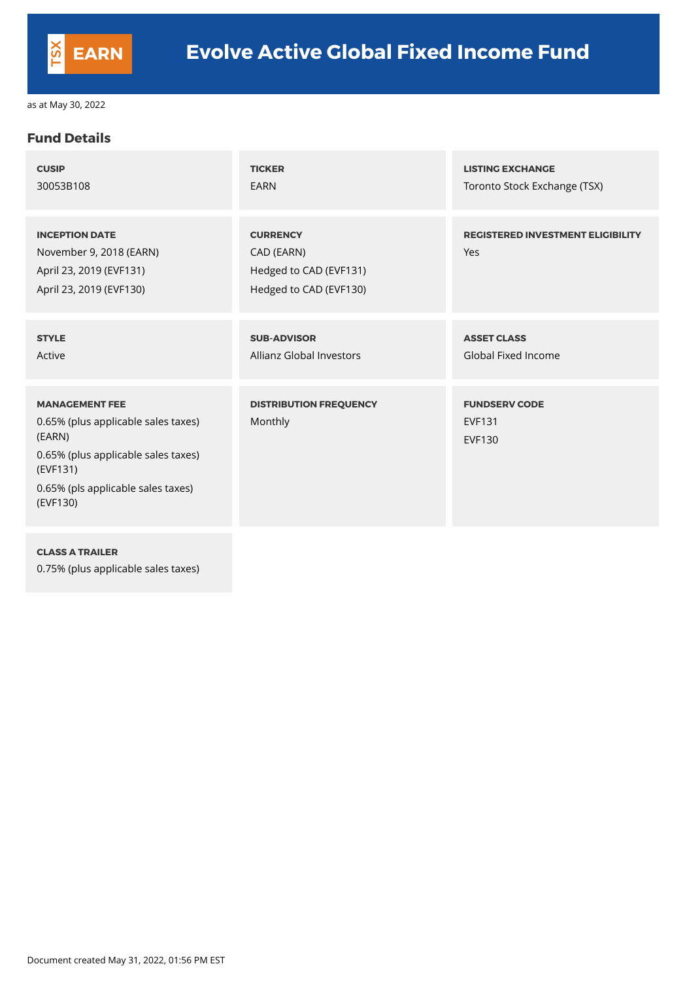#### **Fund Details**

| <b>CUSIP</b>                                                                                                                                                                | <b>TICKER</b>                                                                     | <b>LISTING EXCHANGE</b>                                |
|-----------------------------------------------------------------------------------------------------------------------------------------------------------------------------|-----------------------------------------------------------------------------------|--------------------------------------------------------|
| 30053B108                                                                                                                                                                   | <b>EARN</b>                                                                       | Toronto Stock Exchange (TSX)                           |
| <b>INCEPTION DATE</b><br>November 9, 2018 (EARN)<br>April 23, 2019 (EVF131)<br>April 23, 2019 (EVF130)                                                                      | <b>CURRENCY</b><br>CAD (EARN)<br>Hedged to CAD (EVF131)<br>Hedged to CAD (EVF130) | <b>REGISTERED INVESTMENT ELIGIBILITY</b><br>Yes        |
| <b>STYLE</b>                                                                                                                                                                | <b>SUB-ADVISOR</b>                                                                | <b>ASSET CLASS</b>                                     |
| Active                                                                                                                                                                      | <b>Allianz Global Investors</b>                                                   | <b>Global Fixed Income</b>                             |
| <b>MANAGEMENT FEE</b><br>0.65% (plus applicable sales taxes)<br>(EARN)<br>0.65% (plus applicable sales taxes)<br>(EVF131)<br>0.65% (pls applicable sales taxes)<br>(EVF130) | <b>DISTRIBUTION FREQUENCY</b><br>Monthly                                          | <b>FUNDSERV CODE</b><br><b>EVF131</b><br><b>EVF130</b> |

**CLASS A TRAILER**

0.75% (plus applicable sales taxes)

Document created May 31, 2022, 01:56 PM EST

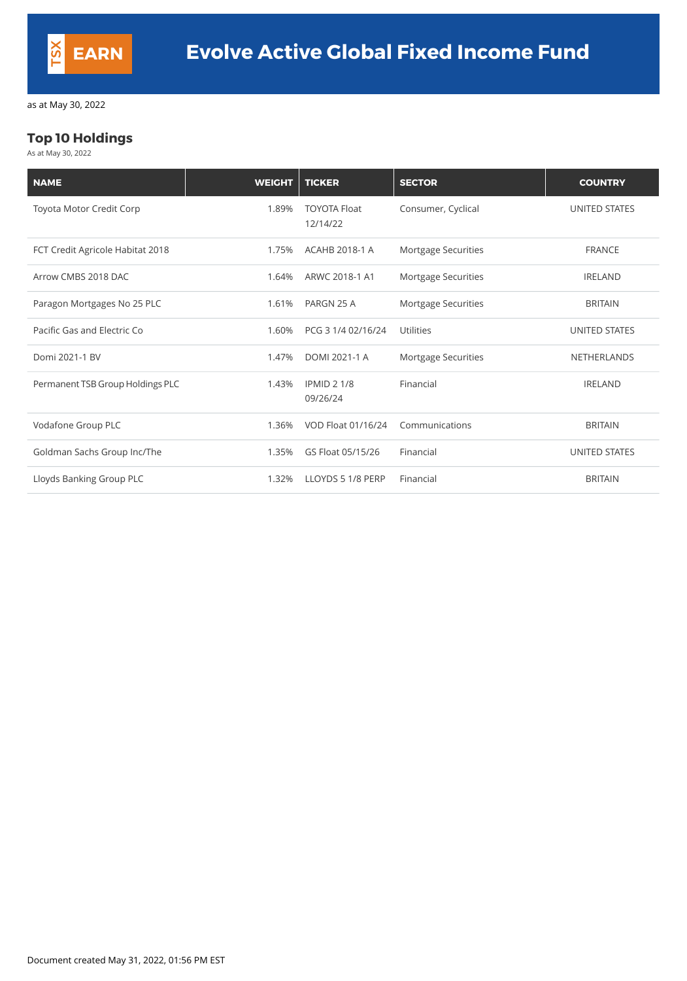### **Top 10 Holdings**

As at May 30, 2022

| <b>NAME</b>                      | <b>WEIGHT</b> | <b>TICKER</b>                   | <b>SECTOR</b>              | <b>COUNTRY</b>       |
|----------------------------------|---------------|---------------------------------|----------------------------|----------------------|
| Toyota Motor Credit Corp         | 1.89%         | <b>TOYOTA Float</b><br>12/14/22 | Consumer, Cyclical         | <b>UNITED STATES</b> |
| FCT Credit Agricole Habitat 2018 | 1.75%         | <b>ACAHB 2018-1 A</b>           | Mortgage Securities        | <b>FRANCE</b>        |
| Arrow CMBS 2018 DAC              | 1.64%         | ARWC 2018-1 A1                  | <b>Mortgage Securities</b> | <b>IRELAND</b>       |
| Paragon Mortgages No 25 PLC      | 1.61%         | PARGN 25 A                      | Mortgage Securities        | <b>BRITAIN</b>       |
| Pacific Gas and Electric Co      | 1.60%         | PCG 3 1/4 02/16/24              | <b>Utilities</b>           | <b>UNITED STATES</b> |
| Domi 2021-1 BV                   | 1.47%         | DOMI 2021-1 A                   | Mortgage Securities        | <b>NETHERLANDS</b>   |
| Permanent TSB Group Holdings PLC | 1.43%         | <b>IPMID 2 1/8</b><br>09/26/24  | Financial                  | <b>IRELAND</b>       |
| Vodafone Group PLC               | 1.36%         | VOD Float 01/16/24              | Communications             | <b>BRITAIN</b>       |
| Goldman Sachs Group Inc/The      | 1.35%         | GS Float 05/15/26               | Financial                  | <b>UNITED STATES</b> |
| Lloyds Banking Group PLC         | 1.32%         | LLOYDS 5 1/8 PERP               | Financial                  | <b>BRITAIN</b>       |

Document created May 31, 2022, 01:56 PM EST

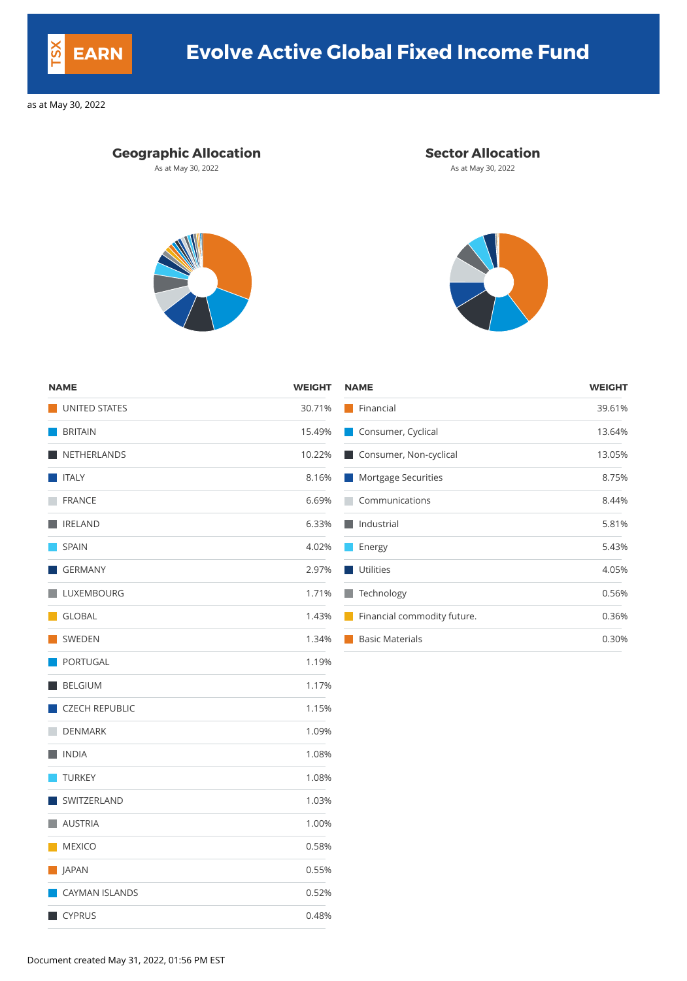## **Geographic Allocation Sector Allocation**

As at May 30, 2022 **As at May 30, 2022** As at May 30, 2022





| <b>NAME</b>           | <b>WEIGHT</b> | <b>NAME</b>                 | <b>WEIGHT</b> |
|-----------------------|---------------|-----------------------------|---------------|
| UNITED STATES         | 30.71%        | Financial                   | 39.61%        |
| <b>BRITAIN</b>        | 15.49%        | Consumer, Cyclical          | 13.64%        |
| NETHERLANDS           | 10.22%        | Consumer, Non-cyclical      | 13.05%        |
| $\blacksquare$ ITALY  | 8.16%         | Mortgage Securities         | 8.75%         |
| <b>FRANCE</b>         | 6.69%         | Communications              | 8.44%         |
| <b>IRELAND</b>        | 6.33%         | $\blacksquare$ Industrial   | 5.81%         |
| <b>SPAIN</b>          | 4.02%         | Energy                      | 5.43%         |
| GERMANY               | 2.97%         | Utilities                   | 4.05%         |
| LUXEMBOURG            | 1.71%         | Technology                  | 0.56%         |
| GLOBAL                | 1.43%         | Financial commodity future. | 0.36%         |
| SWEDEN                | 1.34%         | <b>Basic Materials</b>      | 0.30%         |
| PORTUGAL              | 1.19%         |                             |               |
| BELGIUM               | 1.17%         |                             |               |
| CZECH REPUBLIC        | 1.15%         |                             |               |
| <b>DENMARK</b>        | 1.09%         |                             |               |
| <b>NOIA</b>           | 1.08%         |                             |               |
| <b>TURKEY</b>         | 1.08%         |                             |               |
| SWITZERLAND           | 1.03%         |                             |               |
| <b>AUSTRIA</b>        | 1.00%         |                             |               |
| MEXICO                | 0.58%         |                             |               |
| <b>SAPAN</b>          | 0.55%         |                             |               |
| <b>CAYMAN ISLANDS</b> | 0.52%         |                             |               |
| CYPRUS                | 0.48%         |                             |               |

Document created May 31, 2022, 01:56 PM EST



# **EARN Evolve Active Global Fixed Income Fund**